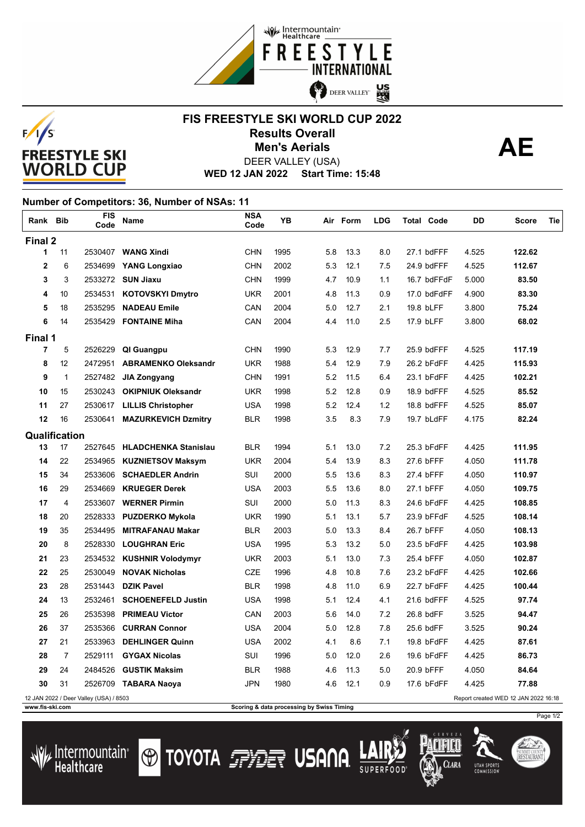



## **FIS FREESTYLE SKI WORLD CUP 2022 Results Overall AE** DEER VALLEY (USA) **Men's Aerials**

**WED 12 JAN 2022 Start Time: 15:48**

## **Number of Competitors: 36, Number of NSAs: 11**

| Rank Bib       |                | FIS<br>Code                            | Name                        | <b>NSA</b><br>Code | YB   |     | Air Form | <b>LDG</b> | <b>Total Code</b> | DD    | Score                                | Tie |
|----------------|----------------|----------------------------------------|-----------------------------|--------------------|------|-----|----------|------------|-------------------|-------|--------------------------------------|-----|
| Final 2        |                |                                        |                             |                    |      |     |          |            |                   |       |                                      |     |
| 1              | 11             |                                        | 2530407 WANG Xindi          | <b>CHN</b>         | 1995 | 5.8 | 13.3     | 8.0        | 27.1 bdFFF        | 4.525 | 122.62                               |     |
| $\overline{2}$ | 6              | 2534699                                | <b>YANG Longxiao</b>        | CHN                | 2002 | 5.3 | 12.1     | 7.5        | 24.9 bdFFF        | 4.525 | 112.67                               |     |
| 3              | 3              |                                        | 2533272 SUN Jiaxu           | <b>CHN</b>         | 1999 | 4.7 | 10.9     | 1.1        | 16.7 bdFFdF       | 5.000 | 83.50                                |     |
| 4              | 10             | 2534531                                | KOTOVSKYI Dmytro            | <b>UKR</b>         | 2001 | 4.8 | 11.3     | 0.9        | 17.0 bdFdFF       | 4.900 | 83.30                                |     |
| 5              | 18             | 2535295                                | <b>NADEAU Emile</b>         | CAN                | 2004 | 5.0 | 12.7     | 2.1        | 19.8 bLFF         | 3.800 | 75.24                                |     |
| 6              | 14             | 2535429                                | <b>FONTAINE Miha</b>        | CAN                | 2004 | 4.4 | 11.0     | 2.5        | 17.9 bLFF         | 3.800 | 68.02                                |     |
| Final 1        |                |                                        |                             |                    |      |     |          |            |                   |       |                                      |     |
| $\overline{7}$ | 5              | 2526229                                | QI Guangpu                  | <b>CHN</b>         | 1990 | 5.3 | 12.9     | 7.7        | 25.9 bdFFF        | 4.525 | 117.19                               |     |
| 8              | 12             | 2472951                                | <b>ABRAMENKO Oleksandr</b>  | <b>UKR</b>         | 1988 | 5.4 | 12.9     | 7.9        | 26.2 bFdFF        | 4.425 | 115.93                               |     |
| 9              | $\mathbf{1}$   | 2527482                                | <b>JIA Zongyang</b>         | CHN                | 1991 | 5.2 | 11.5     | 6.4        | 23.1 bFdFF        | 4.425 | 102.21                               |     |
| 10             | 15             | 2530243                                | <b>OKIPNIUK Oleksandr</b>   | <b>UKR</b>         | 1998 | 5.2 | 12.8     | 0.9        | 18.9 bdFFF        | 4.525 | 85.52                                |     |
| 11             | 27             | 2530617                                | <b>LILLIS Christopher</b>   | <b>USA</b>         | 1998 | 5.2 | 12.4     | 1.2        | 18.8 bdFFF        | 4.525 | 85.07                                |     |
| 12             | 16             | 2530641                                | <b>MAZURKEVICH Dzmitry</b>  | <b>BLR</b>         | 1998 | 3.5 | 8.3      | 7.9        | 19.7 bLdFF        | 4.175 | 82.24                                |     |
| Qualification  |                |                                        |                             |                    |      |     |          |            |                   |       |                                      |     |
| 13             | 17             | 2527645                                | <b>HLADCHENKA Stanislau</b> | <b>BLR</b>         | 1994 | 5.1 | 13.0     | 7.2        | 25.3 bFdFF        | 4.425 | 111.95                               |     |
| 14             | 22             | 2534965                                | <b>KUZNIETSOV Maksym</b>    | UKR                | 2004 | 5.4 | 13.9     | 8.3        | 27.6 bFFF         | 4.050 | 111.78                               |     |
| 15             | 34             | 2533606                                | <b>SCHAEDLER Andrin</b>     | SUI                | 2000 | 5.5 | 13.6     | 8.3        | 27.4 bFFF         | 4.050 | 110.97                               |     |
| 16             | 29             | 2534669                                | <b>KRUEGER Derek</b>        | <b>USA</b>         | 2003 | 5.5 | 13.6     | 8.0        | 27.1 bFFF         | 4.050 | 109.75                               |     |
| 17             | 4              | 2533607                                | <b>WERNER Pirmin</b>        | <b>SUI</b>         | 2000 | 5.0 | 11.3     | 8.3        | 24.6 bFdFF        | 4.425 | 108.85                               |     |
| 18             | 20             | 2528333                                | <b>PUZDERKO Mykola</b>      | <b>UKR</b>         | 1990 | 5.1 | 13.1     | 5.7        | 23.9 bFFdF        | 4.525 | 108.14                               |     |
| 19             | 35             | 2534495                                | <b>MITRAFANAU Makar</b>     | <b>BLR</b>         | 2003 | 5.0 | 13.3     | 8.4        | 26.7 bFFF         | 4.050 | 108.13                               |     |
| 20             | 8              | 2528330                                | <b>LOUGHRAN Eric</b>        | <b>USA</b>         | 1995 | 5.3 | 13.2     | 5.0        | 23.5 bFdFF        | 4.425 | 103.98                               |     |
| 21             | 23             |                                        | 2534532 KUSHNIR Volodymyr   | <b>UKR</b>         | 2003 | 5.1 | 13.0     | 7.3        | 25.4 bFFF         | 4.050 | 102.87                               |     |
| 22             | 25             | 2530049                                | <b>NOVAK Nicholas</b>       | <b>CZE</b>         | 1996 | 4.8 | 10.8     | 7.6        | 23.2 bFdFF        | 4.425 | 102.66                               |     |
| 23             | 28             | 2531443                                | <b>DZIK Pavel</b>           | <b>BLR</b>         | 1998 | 4.8 | 11.0     | 6.9        | 22.7 bFdFF        | 4.425 | 100.44                               |     |
| 24             | 13             | 2532461                                | <b>SCHOENEFELD Justin</b>   | <b>USA</b>         | 1998 | 5.1 | 12.4     | 4.1        | 21.6 bdFFF        | 4.525 | 97.74                                |     |
| 25             | 26             | 2535398                                | <b>PRIMEAU Victor</b>       | CAN                | 2003 | 5.6 | 14.0     | 7.2        | 26.8 bdFF         | 3.525 | 94.47                                |     |
| 26             | 37             | 2535366                                | <b>CURRAN Connor</b>        | <b>USA</b>         | 2004 | 5.0 | 12.8     | 7.8        | 25.6 bdFF         | 3.525 | 90.24                                |     |
| 27             | 21             | 2533963                                | <b>DEHLINGER Quinn</b>      | <b>USA</b>         | 2002 | 4.1 | 8.6      | 7.1        | 19.8 bFdFF        | 4.425 | 87.61                                |     |
| 28             | $\overline{7}$ | 2529111                                | <b>GYGAX Nicolas</b>        | SUI                | 1996 | 5.0 | 12.0     | 2.6        | 19.6 bFdFF        | 4.425 | 86.73                                |     |
| 29             | 24             | 2484526                                | <b>GUSTIK Maksim</b>        | <b>BLR</b>         | 1988 | 4.6 | 11.3     | 5.0        | 20.9 bFFF         | 4.050 | 84.64                                |     |
| 30             | 31             |                                        | 2526709 TABARA Naoya        | JPN                | 1980 | 4.6 | 12.1     | 0.9        | 17.6 bFdFF        | 4.425 | 77.88                                |     |
|                |                | 12 JAN 2022 / Deer Valley (USA) / 8503 |                             |                    |      |     |          |            |                   |       | Report created WED 12 JAN 2022 16:18 |     |

/ Intermountain<br>Healthcare

**WWW.fis-ski.com Scoring & data processing by Swiss Timing** 

**O TOYOTA FRIET USANA** 

Clara

**UTAH SPORT** 

Page 1/2

SUMMIT COUNTY<br>**RESTAURANT**